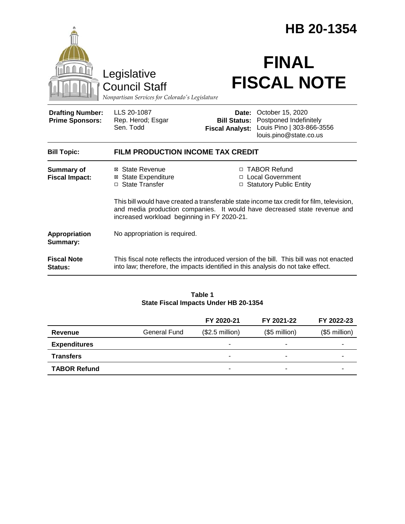|                                                                                        |                                                                                                                                                                                                                       | HB 20-1354                                             |                                                                                                   |  |  |
|----------------------------------------------------------------------------------------|-----------------------------------------------------------------------------------------------------------------------------------------------------------------------------------------------------------------------|--------------------------------------------------------|---------------------------------------------------------------------------------------------------|--|--|
| Legislative<br><b>Council Staff</b><br>Nonpartisan Services for Colorado's Legislature |                                                                                                                                                                                                                       | <b>FINAL</b><br><b>FISCAL NOTE</b>                     |                                                                                                   |  |  |
| <b>Drafting Number:</b><br><b>Prime Sponsors:</b>                                      | LLS 20-1087<br>Rep. Herod; Esgar<br>Sen. Todd                                                                                                                                                                         | Date:<br><b>Bill Status:</b><br><b>Fiscal Analyst:</b> | October 15, 2020<br>Postponed Indefinitely<br>Louis Pino   303-866-3556<br>louis.pino@state.co.us |  |  |
| <b>Bill Topic:</b>                                                                     | <b>FILM PRODUCTION INCOME TAX CREDIT</b>                                                                                                                                                                              |                                                        |                                                                                                   |  |  |
| <b>Summary of</b><br><b>Fiscal Impact:</b>                                             | ⊠ State Revenue<br><b>State Expenditure</b><br>⊠<br>□ State Transfer                                                                                                                                                  |                                                        | □ TABOR Refund<br>□ Local Government<br>□ Statutory Public Entity                                 |  |  |
|                                                                                        | This bill would have created a transferable state income tax credit for film, television,<br>and media production companies. It would have decreased state revenue and<br>increased workload beginning in FY 2020-21. |                                                        |                                                                                                   |  |  |
| Appropriation<br>Summary:                                                              | No appropriation is required.                                                                                                                                                                                         |                                                        |                                                                                                   |  |  |
| <b>Fiscal Note</b><br>Status:                                                          | This fiscal note reflects the introduced version of the bill. This bill was not enacted<br>into law; therefore, the impacts identified in this analysis do not take effect.                                           |                                                        |                                                                                                   |  |  |

#### **Table 1 State Fiscal Impacts Under HB 20-1354**

|                     |              | FY 2020-21       | FY 2021-22               | FY 2022-23        |
|---------------------|--------------|------------------|--------------------------|-------------------|
| Revenue             | General Fund | $($2.5$ million) | $($5$ million $)$        | $($5$ million $)$ |
| <b>Expenditures</b> |              | ۰                | $\overline{\phantom{0}}$ |                   |
| <b>Transfers</b>    |              |                  | ۰                        |                   |
| <b>TABOR Refund</b> |              | -                | -                        |                   |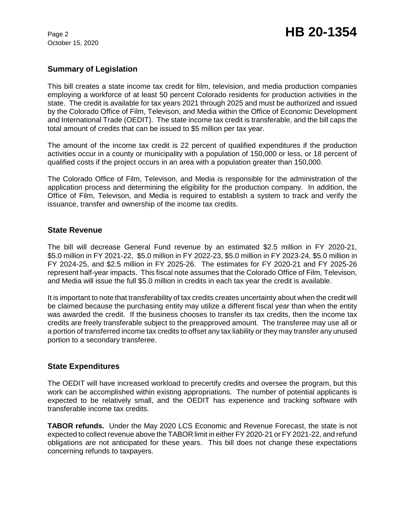October 15, 2020

# **Summary of Legislation**

This bill creates a state income tax credit for film, television, and media production companies employing a workforce of at least 50 percent Colorado residents for production activities in the state. The credit is available for tax years 2021 through 2025 and must be authorized and issued by the Colorado Office of Film, Televison, and Media within the Office of Economic Development and International Trade (OEDIT). The state income tax credit is transferable, and the bill caps the total amount of credits that can be issued to \$5 million per tax year.

The amount of the income tax credit is 22 percent of qualified expenditures if the production activities occur in a county or municipality with a population of 150,000 or less, or 18 percent of qualified costs if the project occurs in an area with a population greater than 150,000.

The Colorado Office of Film, Televison, and Media is responsible for the administration of the application process and determining the eligibility for the production company. In addition, the Office of Film, Televison, and Media is required to establish a system to track and verify the issuance, transfer and ownership of the income tax credits.

#### **State Revenue**

The bill will decrease General Fund revenue by an estimated \$2.5 million in FY 2020-21, \$5.0 million in FY 2021-22, \$5.0 million in FY 2022-23, \$5.0 million in FY 2023-24, \$5.0 million in FY 2024-25, and \$2.5 million in FY 2025-26. The estimates for FY 2020-21 and FY 2025-26 represent half-year impacts. This fiscal note assumes that the Colorado Office of Film, Televison, and Media will issue the full \$5.0 million in credits in each tax year the credit is available.

It is important to note that transferability of tax credits creates uncertainty about when the credit will be claimed because the purchasing entity may utilize a different fiscal year than when the entity was awarded the credit. If the business chooses to transfer its tax credits, then the income tax credits are freely transferable subject to the preapproved amount. The transferee may use all or a portion of transferred income tax credits to offset any tax liability or they may transfer any unused portion to a secondary transferee.

### **State Expenditures**

The OEDIT will have increased workload to precertify credits and oversee the program, but this work can be accomplished within existing appropriations. The number of potential applicants is expected to be relatively small, and the OEDIT has experience and tracking software with transferable income tax credits.

**TABOR refunds.** Under the May 2020 LCS Economic and Revenue Forecast, the state is not expected to collect revenue above the TABOR limit in either FY 2020-21 or FY 2021-22, and refund obligations are not anticipated for these years. This bill does not change these expectations concerning refunds to taxpayers.